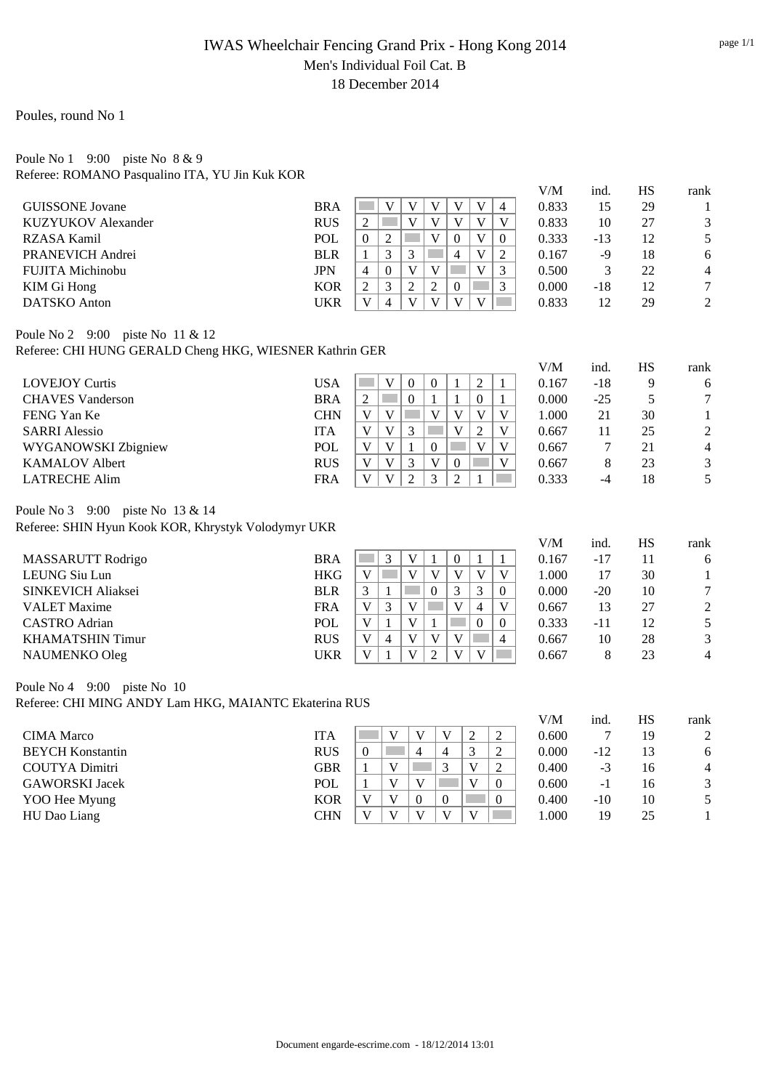### IWAS Wheelchair Fencing Grand Prix - Hong Kong 2014 Men's Individual Foil Cat. B 18 December 2014

#### Poules, round No 1

#### Poule No 1 9:00 piste No 8 & 9 Referee: ROMANO Pasqualino ITA, YU Jin Kuk KOR

|                                                         |            |                |          |   |   |          |  |          | V/M   | ind.  | <b>HS</b> | rank           |
|---------------------------------------------------------|------------|----------------|----------|---|---|----------|--|----------|-------|-------|-----------|----------------|
| <b>GUISSONE</b> Jovane                                  | <b>BRA</b> |                | V        | V |   |          |  | 4        | 0.833 | 15    | 29        |                |
| KUZYUKOV Alexander                                      | <b>RUS</b> | 2              |          | V | V |          |  | V        | 0.833 | 10    | 27        | 3              |
| RZASA Kamil                                             | <b>POL</b> | $\Omega$       | 2        |   |   | $\Omega$ |  | $\Omega$ | 0.333 | $-13$ | 12        | 5              |
| PRANEVICH Andrei                                        | <b>BLR</b> |                | 3        | 3 |   | 4        |  | 2        | 0.167 | -9    | 18        | 6              |
| FUJITA Michinobu                                        | <b>JPN</b> | $\overline{4}$ | $\Omega$ | V |   |          |  | 3        | 0.500 | 3     | 22        | $\overline{4}$ |
| KIM Gi Hong                                             | <b>KOR</b> | 2              | 3        | 2 | 2 | $\Omega$ |  | 3        | 0.000 | $-18$ | 12        |                |
| DATSKO Anton                                            | <b>UKR</b> | $\mathbf{V}$   | 4        | V | v |          |  |          | 0.833 | 12    | 29        | 2              |
| Poule No 2 9:00 piste No 11 & 12                        |            |                |          |   |   |          |  |          |       |       |           |                |
| Referee: CHI HUNG GERALD Cheng HKG, WIESNER Kathrin GER |            |                |          |   |   |          |  |          |       |       |           |                |
|                                                         |            |                |          |   |   |          |  |          | V/M   | ind.  | <b>HS</b> | rank           |

| <b>USA</b> |              | $\Omega$                | $\Omega$ |          |          |   | 0.167 | -18   | Q  | 6 |
|------------|--------------|-------------------------|----------|----------|----------|---|-------|-------|----|---|
| <b>BRA</b> |              | $\Omega$                |          |          | $\theta$ |   | 0.000 | $-25$ |    |   |
| <b>CHN</b> | V)           |                         |          | v        |          | V | 1.000 |       | 30 |   |
| ITA        | V            | $\mathbf{\overline{3}}$ |          | v        |          | V | 0.667 |       | 25 | 2 |
| <b>POL</b> | V            |                         |          |          | V        | V | 0.667 |       | 21 | 4 |
| <b>RUS</b> | $\mathbf{V}$ | $\mathbf 3$             |          | $\Omega$ |          | V | 0.667 |       | 23 |   |
| <b>FRA</b> | V            | ◠                       |          |          |          |   | 0.333 | -4    | 18 |   |
|            |              |                         |          |          |          |   |       |       |    |   |

Poule No 3 9:00 piste No 13 & 14

Referee: SHIN Hyun Kook KOR, Khrystyk Volodymyr UKR

|                           |            |              |   |              |              |          |          | V/M   | ind.  | HS | rank           |
|---------------------------|------------|--------------|---|--------------|--------------|----------|----------|-------|-------|----|----------------|
| <b>MASSARUTT Rodrigo</b>  | <b>BRA</b> |              | 3 |              | 0            |          |          | 0.167 | -17   | 11 | 6              |
| LEUNG Siu Lun             | <b>HKG</b> |              |   | V            | v            | V        | V        | 1.000 |       | 30 |                |
| <b>SINKEVICH Aliaksei</b> | <b>BLR</b> |              |   |              |              |          | $\theta$ | 0.000 | $-20$ | 10 |                |
| <b>VALET</b> Maxime       | <b>FRA</b> | v            | 3 |              | v            | 4        | V        | 0.667 | 13    | 27 | 2              |
| <b>CASTRO</b> Adrian      | POL        |              |   |              |              | $\theta$ | $\theta$ | 0.333 | -11   | 12 | 5.             |
| KHAMATSHIN Timur          | <b>RUS</b> | $\mathbf{V}$ | 4 | $\mathbf{V}$ | V            |          | 4        | 0.667 | 10    | 28 | 3              |
| NAUMENKO Oleg             | <b>UKR</b> |              |   |              | $\mathbf{V}$ | V        |          | 0.667 |       | 23 | $\overline{4}$ |

Poule No 4 9:00 piste No 10

Referee: CHI MING ANDY Lam HKG, MAIANTC Ekaterina RUS

|                         |            |          |          |          |   |                | V/M   | ind.  | HS | rank           |
|-------------------------|------------|----------|----------|----------|---|----------------|-------|-------|----|----------------|
| <b>CIMA</b> Marco       | <b>ITA</b> |          |          | V        |   | ↑              | 0.600 |       | 19 | 2              |
| <b>BEYCH Konstantin</b> | <b>RUS</b> |          |          | 4        |   | ↑              | 0.000 | $-12$ | 13 | 6              |
| <b>COUTYA Dimitri</b>   | <b>GBR</b> | V        |          |          | v | ↑              | 0.400 | $-3$  | 16 | $\overline{4}$ |
| <b>GAWORSKI Jacek</b>   | POL        | v        |          |          |   | $\theta$       | 0.600 | - 1   | 16 | 3              |
| YOO Hee Myung           | <b>KOR</b> |          | $\Omega$ | $\Omega$ |   | $\overline{0}$ | 0.400 | $-10$ | 10 |                |
| HU Dao Liang            | <b>CHN</b> | $\bf{V}$ |          | v        | v |                | 1.000 | 19    | 25 |                |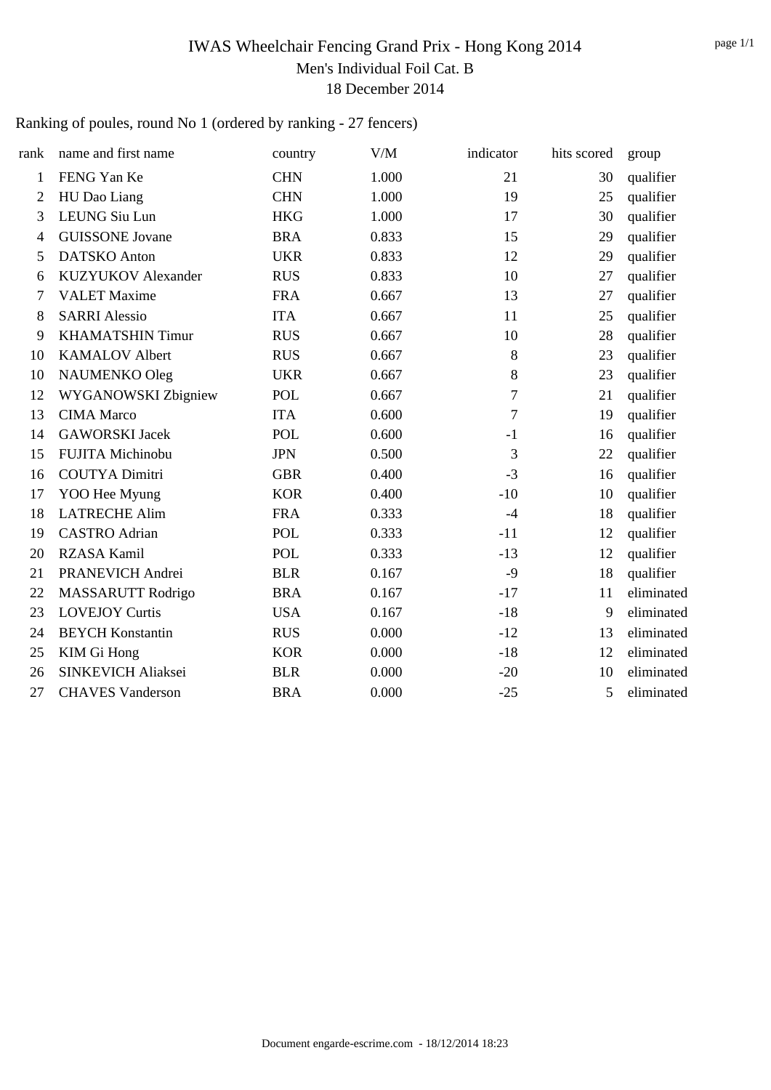## IWAS Wheelchair Fencing Grand Prix - Hong Kong 2014 Men's Individual Foil Cat. B 18 December 2014

### Ranking of poules, round No 1 (ordered by ranking - 27 fencers)

| rank           | name and first name       | country    | V/M   | indicator      | hits scored | group      |
|----------------|---------------------------|------------|-------|----------------|-------------|------------|
| $\mathbf{1}$   | FENG Yan Ke               | <b>CHN</b> | 1.000 | 21             | 30          | qualifier  |
| 2              | HU Dao Liang              | <b>CHN</b> | 1.000 | 19             | 25          | qualifier  |
| 3              | <b>LEUNG Siu Lun</b>      | <b>HKG</b> | 1.000 | 17             | 30          | qualifier  |
| $\overline{4}$ | <b>GUISSONE Jovane</b>    | <b>BRA</b> | 0.833 | 15             | 29          | qualifier  |
| 5              | <b>DATSKO</b> Anton       | <b>UKR</b> | 0.833 | 12             | 29          | qualifier  |
| 6              | <b>KUZYUKOV</b> Alexander | <b>RUS</b> | 0.833 | 10             | 27          | qualifier  |
| 7              | <b>VALET Maxime</b>       | <b>FRA</b> | 0.667 | 13             | 27          | qualifier  |
| 8              | <b>SARRI Alessio</b>      | <b>ITA</b> | 0.667 | 11             | 25          | qualifier  |
| 9              | <b>KHAMATSHIN Timur</b>   | <b>RUS</b> | 0.667 | 10             | 28          | qualifier  |
| 10             | <b>KAMALOV Albert</b>     | <b>RUS</b> | 0.667 | 8              | 23          | qualifier  |
| 10             | NAUMENKO Oleg             | <b>UKR</b> | 0.667 | 8              | 23          | qualifier  |
| 12             | WYGANOWSKI Zbigniew       | <b>POL</b> | 0.667 | $\overline{7}$ | 21          | qualifier  |
| 13             | <b>CIMA</b> Marco         | <b>ITA</b> | 0.600 | $\tau$         | 19          | qualifier  |
| 14             | <b>GAWORSKI</b> Jacek     | POL        | 0.600 | $-1$           | 16          | qualifier  |
| 15             | FUJITA Michinobu          | <b>JPN</b> | 0.500 | 3              | 22          | qualifier  |
| 16             | <b>COUTYA Dimitri</b>     | <b>GBR</b> | 0.400 | $-3$           | 16          | qualifier  |
| 17             | YOO Hee Myung             | <b>KOR</b> | 0.400 | $-10$          | 10          | qualifier  |
| 18             | <b>LATRECHE Alim</b>      | <b>FRA</b> | 0.333 | $-4$           | 18          | qualifier  |
| 19             | <b>CASTRO</b> Adrian      | <b>POL</b> | 0.333 | $-11$          | 12          | qualifier  |
| 20             | <b>RZASA Kamil</b>        | <b>POL</b> | 0.333 | $-13$          | 12          | qualifier  |
| 21             | PRANEVICH Andrei          | <b>BLR</b> | 0.167 | $-9$           | 18          | qualifier  |
| 22             | MASSARUTT Rodrigo         | <b>BRA</b> | 0.167 | $-17$          | 11          | eliminated |
| 23             | <b>LOVEJOY Curtis</b>     | <b>USA</b> | 0.167 | $-18$          | 9           | eliminated |
| 24             | <b>BEYCH Konstantin</b>   | <b>RUS</b> | 0.000 | $-12$          | 13          | eliminated |
| 25             | KIM Gi Hong               | <b>KOR</b> | 0.000 | $-18$          | 12          | eliminated |
| 26             | SINKEVICH Aliaksei        | <b>BLR</b> | 0.000 | $-20$          | 10          | eliminated |
| 27             | <b>CHAVES Vanderson</b>   | <b>BRA</b> | 0.000 | $-25$          | 5           | eliminated |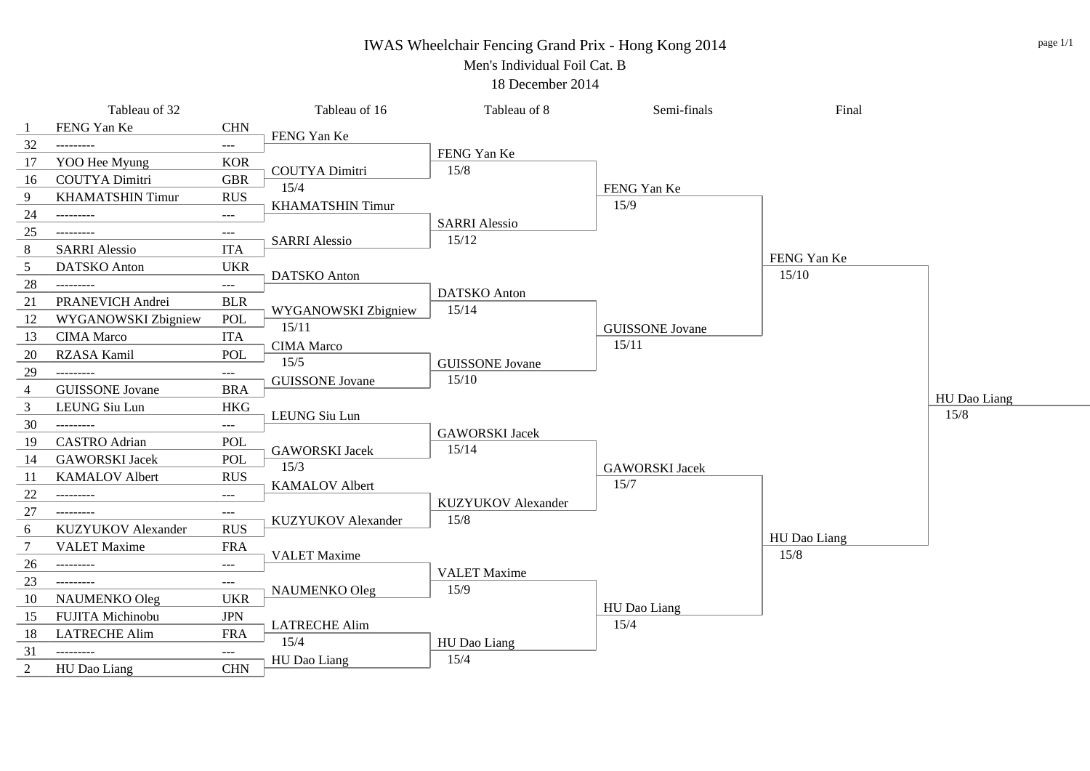#### IWAS Wheelchair Fencing Grand Prix - Hong Kong 2014

Men's Individual Foil Cat. B

18 December 2014